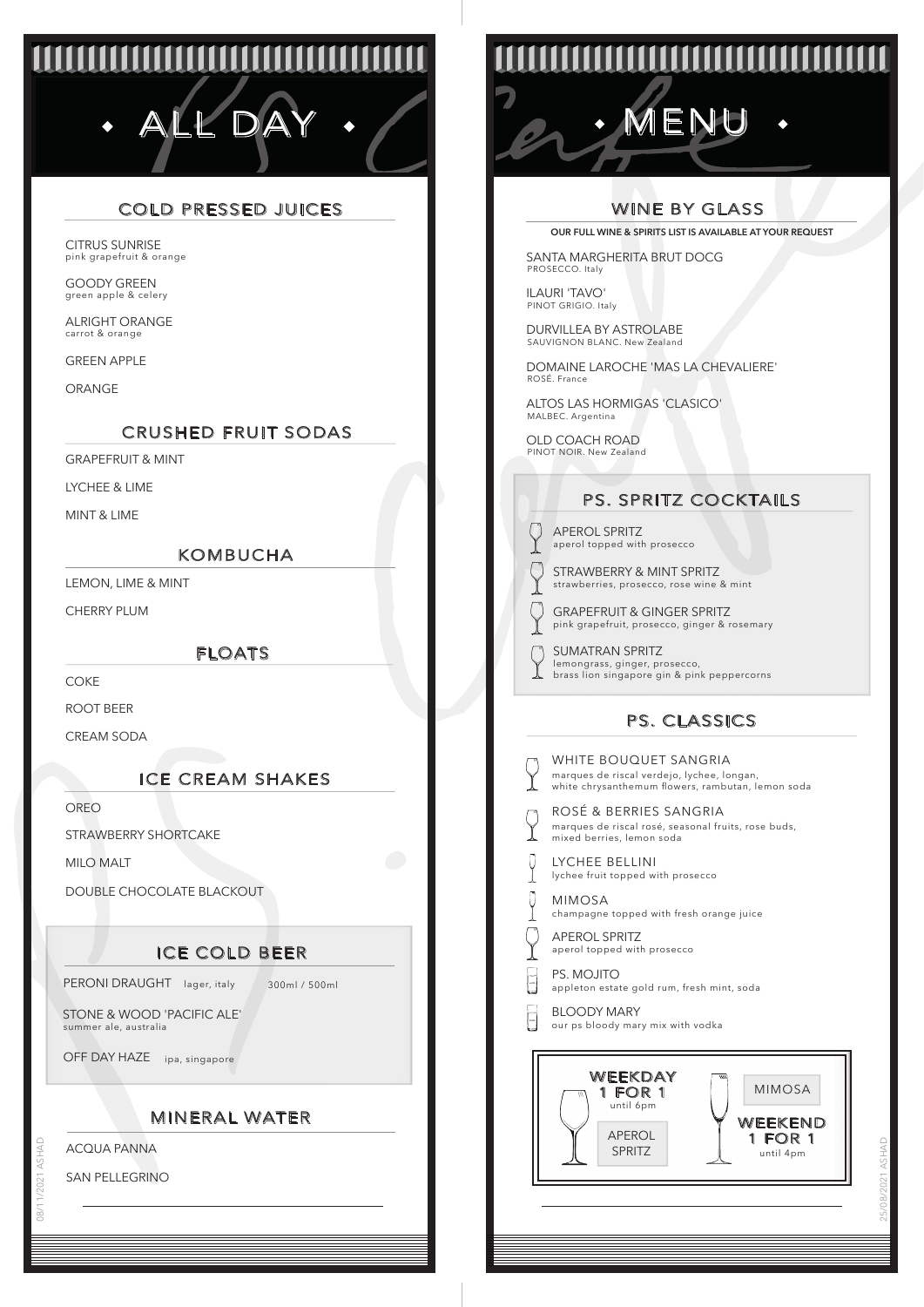# **MANAMANA ANG PANAMANA ANG PANAMANA ANG PANAMANA ANG PANAMANA ANG PANAMANA ANG PANAMANA ANG PANAMANA ANG PANAMA** ALL DAY · / COM · MENU

# COLD PRESSED JUICES

pink grapefruit & orange CITRUS SUNRISE

green apple & celery GOODY GREEN

carrot & orange ALRIGHT ORANGE

GREEN APPLE

ORANGE

#### CRUSHED FRUIT SODAS

GRAPEFRUIT & MINT

LYCHEE & LIME

MINT & LIME

#### KOMBUCHA

LEMON, LIME & MINT

CHERRY PLUM

FLOATS

**COKE** 

ROOT BEER

CREAM SODA

## ICE CREAM SHAKES

OREO

STRAWBERRY SHORTCAKE

MILO MALT

DOUBLE CHOCOLATE BLACKOUT

# ICE COLD BEER

PERONI DRAUGHT lager, italy 300ml / 500ml

STONE & WOOD 'PACIFIC ALE' summer ale, australia

OFF DAY HAZE ipa, singapore

#### MINERAL WATER

ACQUA PANNA

SAN PELLEGRINO

08/11/2021 ASHAD

# **TITITITITITITITITI**

## WINE BY GLASS

**OUR FULL WINE & SPIRITS LIST IS AVAILABLE AT YOUR REQUEST**

SANTA MARGHERITA BRUT DOCG PROSECCO. Italy

ILAURI 'TAVO' PINOT GRIGIO. Italy

DURVILLEA BY ASTROLABE SAUVIGNON BLANC. New Zealand

DOMAINE LAROCHE 'MAS LA CHEVALIERE' ROSÉ. France

ALTOS LAS HORMIGAS 'CLASICO' MALBEC. Argentina

OLD COACH ROAD PINOT NOIR. New Zealand

# PS. SPRITZ COCKTAILS

aperol topped with prosecco APEROL SPRITZ

O

 $\overline{(\ }$ 

strawberries, prosecco, rose wine & mint STRAWBERRY & MINT SPRITZ

- pink grapefruit, prosecco, ginger & rosemary GRAPEFRUIT & GINGER SPRITZ
- lemongrass, ginger, prosecco, brass lion singapore gin & pink peppercorns SUMATRAN SPRITZ

# PS. CLASSICS

| WF<br>mar<br>whi        |
|-------------------------|
| <b>RO</b><br>mar<br>mix |
| LY <sub>(</sub><br>lych |
| МII<br>cha              |
| <b>AP</b><br>ape        |
| PS.<br>app              |
| BL(<br>our              |
|                         |
|                         |

**SÉ & BERRIES SANGRIA** rques de riscal rosé, seasonal fruits, rose buds, ed berries, lemon soda WHITE BOUQUET SANGRIA .<br>rques de riscal verdejo, lychee, longan te chrysanthemum flowers, rambutan, lemon soda

LYCHEE BELLINI l<br>hee fruit topped with prosecco

- 
- $MOSA$ mpagne topped with fresh orange juice
- erol topped with prosecco **EROL SPRITZ**
- **MOJITO** .<br>aleton estate gold rum, fresh mint, soda

BLOODY MARY ps bloody mary mix with vodka



25/08/2021 ASHAD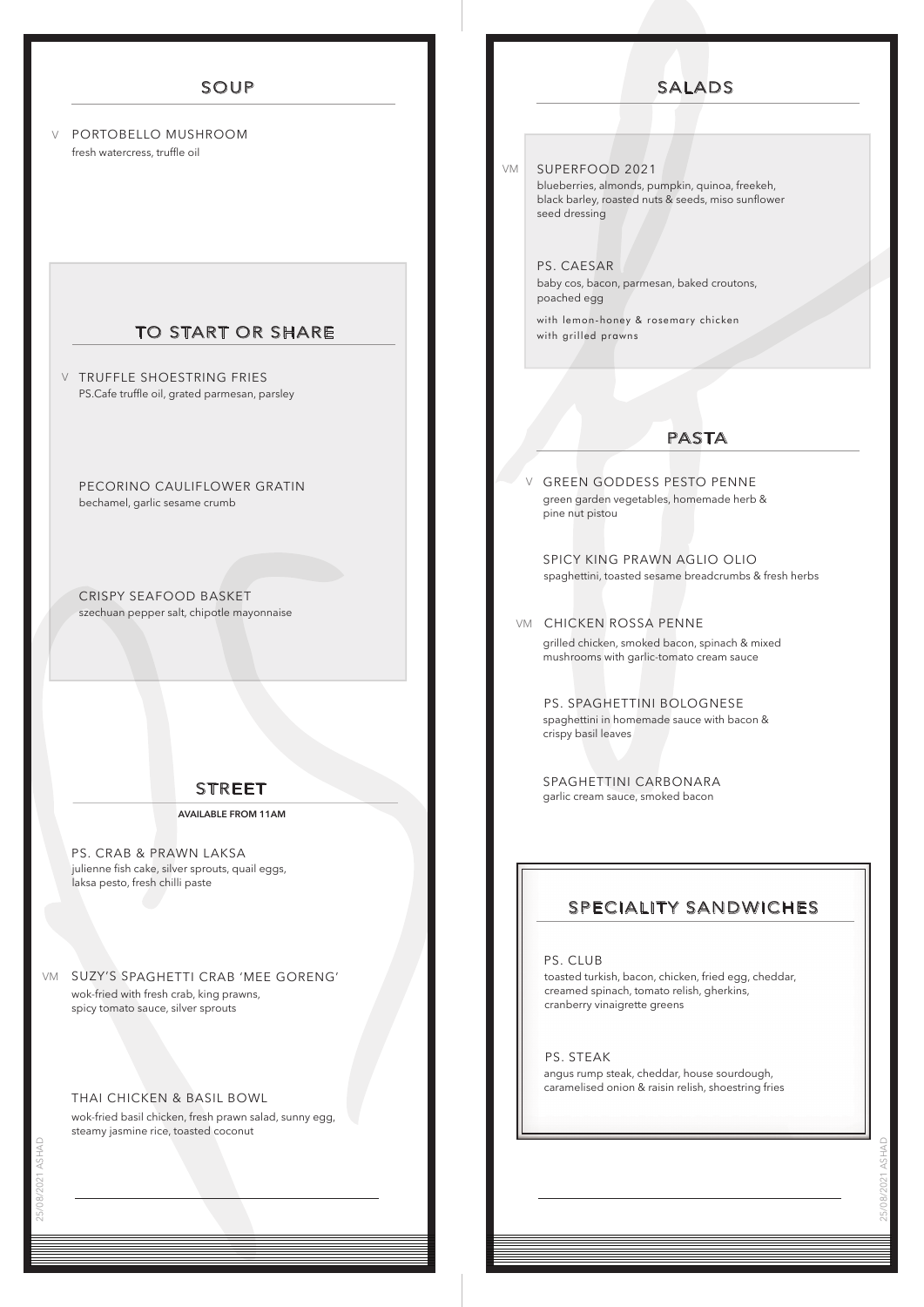#### SOUP

PORTOBELLO MUSHROOM V fresh watercress, truffle oil

#### TO START OR SHARE

**V** TRUFFLE SHOESTRING FRIES PS.Cafe truffle oil, grated parmesan, parsley

PECORINO CAULIFLOWER GRATIN bechamel, garlic sesame crumb

CRISPY SEAFOOD BASKET szechuan pepper salt, chipotle mayonnaise

#### STREET

**AVAILABLE FROM 11AM**

julienne fish cake, silver sprouts, quail eggs, laksa pesto, fresh chilli paste PS. CRAB & PRAWN LAKSA

SUZY'S SPAGHETTI CRAB 'MEE GORENG' VM wok-fried with fresh crab, king prawns, spicy tomato sauce, silver sprouts

#### THAI CHICKEN & BASIL BOWL

wok-fried basil chicken, fresh prawn salad, sunny egg, steamy jasmine rice, toasted coconut

SUPERFOOD 2021 VM

V

blueberries, almonds, pumpkin, quinoa, freekeh, black barley, roasted nuts & seeds, miso sunflower seed dressing

PS. CAESAR baby cos, bacon, parmesan, baked croutons, poached egg

with lemon-honey & rosemary chicken with grilled prawns

#### PASTA

GREEN GODDESS PESTO PENNE green garden vegetables, homemade herb & pine nut pistou

SPICY KING PRAWN AGLIO OLIO spaghettini, toasted sesame breadcrumbs & fresh herbs

#### vm CHICKEN ROSSA PENNE

grilled chicken, smoked bacon, spinach & mixed mushrooms with garlic-tomato cream sauce

PS. SPAGHETTINI BOLOGNESE spaghettini in homemade sauce with bacon & crispy basil leaves

SPAGHETTINI CARBONARA garlic cream sauce, smoked bacon

#### SPECIALITY SANDWICHES

PS. CLUB

toasted turkish, bacon, chicken, fried egg, cheddar, creamed spinach, tomato relish, gherkins, cranberry vinaigrette greens

PS. STEAK angus rump steak, cheddar, house sourdough, caramelised onion & raisin relish, shoestring fries

25/08/2021 ASHAD

#### SALADS